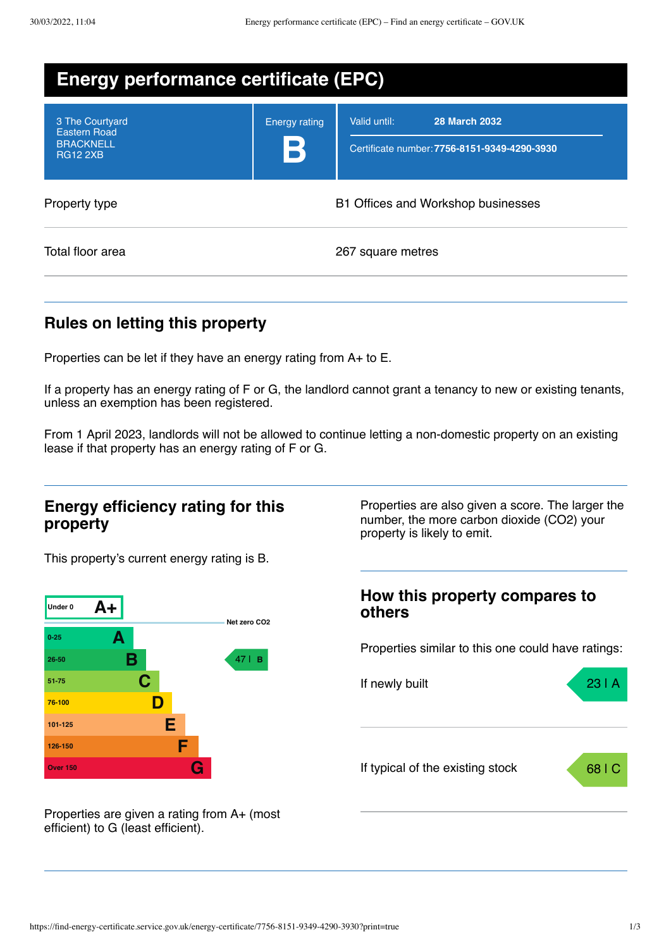| <b>Energy performance certificate (EPC)</b>                                   |                           |                                                                                      |  |
|-------------------------------------------------------------------------------|---------------------------|--------------------------------------------------------------------------------------|--|
| 3 The Courtyard<br><b>Eastern Road</b><br><b>BRACKNELL</b><br><b>RG12 2XB</b> | <b>Energy rating</b><br>B | Valid until:<br><b>28 March 2032</b><br>Certificate number: 7756-8151-9349-4290-3930 |  |
| Property type                                                                 |                           | B1 Offices and Workshop businesses                                                   |  |
| Total floor area                                                              |                           | 267 square metres                                                                    |  |

## **Rules on letting this property**

Properties can be let if they have an energy rating from A+ to E.

If a property has an energy rating of F or G, the landlord cannot grant a tenancy to new or existing tenants, unless an exemption has been registered.

From 1 April 2023, landlords will not be allowed to continue letting a non-domestic property on an existing lease if that property has an energy rating of F or G.

### **Energy efficiency rating for this property**

This property's current energy rating is B.



Properties are given a rating from A+ (most efficient) to G (least efficient).

Properties are also given a score. The larger the number, the more carbon dioxide (CO2) your property is likely to emit.

# **How this property compares to others** Properties similar to this one could have ratings: If newly built **23 | A** If typical of the existing stock 68 | C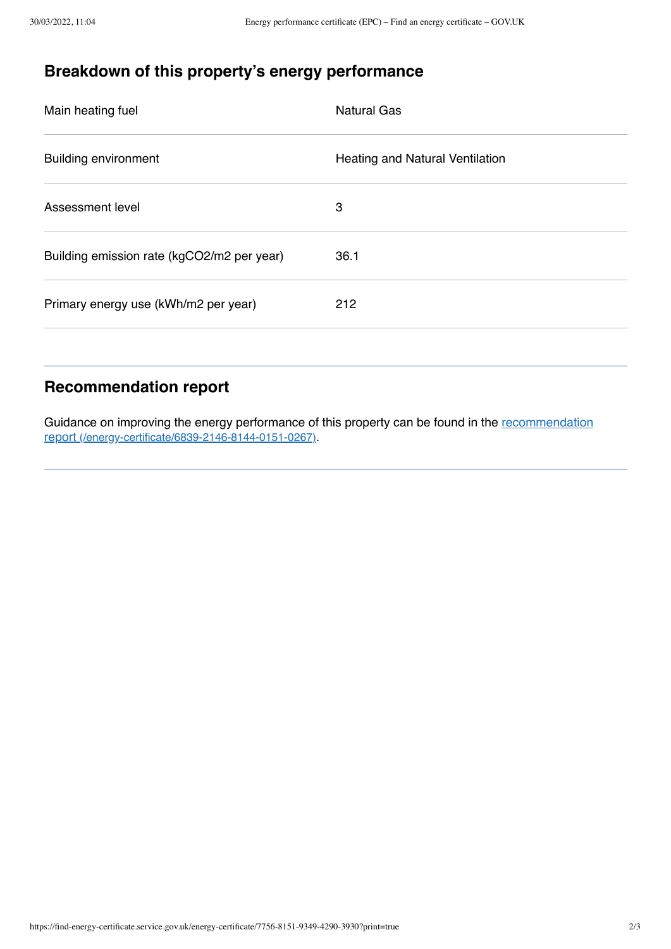# **Breakdown of this property's energy performance**

| Main heating fuel                          | <b>Natural Gas</b>                     |
|--------------------------------------------|----------------------------------------|
| <b>Building environment</b>                | <b>Heating and Natural Ventilation</b> |
| Assessment level                           | 3                                      |
| Building emission rate (kgCO2/m2 per year) | 36.1                                   |
| Primary energy use (kWh/m2 per year)       | 212                                    |

## **Recommendation report**

Guidance on improving the energy performance of this property can be found in the recommendation report [\(/energy-certificate/6839-2146-8144-0151-0267\)](https://find-energy-certificate.service.gov.uk/energy-certificate/6839-2146-8144-0151-0267).